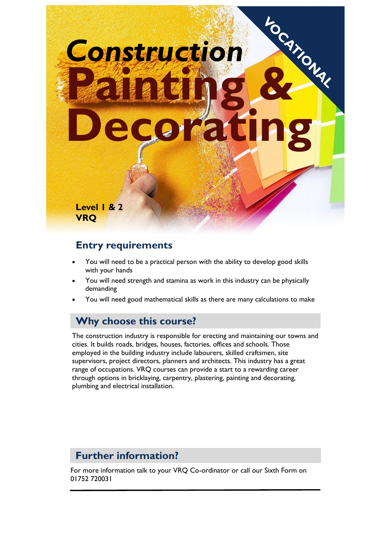# *Construction* **Pagnicular Decorating Level 1 & 2 VRQ**

#### **Entry requirements**

- You will need to be a practical person with the ability to develop good skills with your hands
- You will need strength and stamina as work in this industry can be physically demanding
- You will need good mathematical skills as there are many calculations to make

#### **Why choose this course?**

The construction industry is responsible for erecting and maintaining our towns and cities. It builds roads, bridges, houses, factories, offices and schools. Those employed in the building industry include labourers, skilled craftsmen, site supervisors, project directors, planners and architects. This industry has a great range of occupations. VRQ courses can provide a start to a rewarding career through options in bricklaying, carpentry, plastering, painting and decorating, plumbing and electrical installation.

#### **Further information?**

For more information talk to your VRQ Co-ordinator or call our Sixth Form on 01752 720031